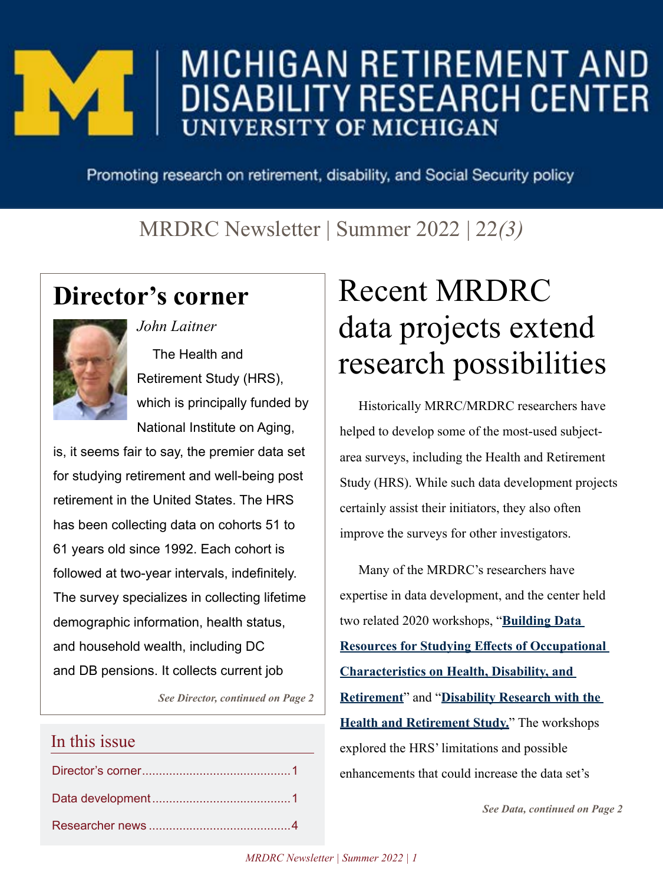# MICHIGAN RETIREMENT AND **UNIVERSITY OF MICHIGAN**

Promoting research on retirement, disability, and Social Security policy

### MRDRC Newsletter | Summer 2022 | 22*(3)*

### **Director's corner**

*John Laitner*



The Health and Retirement Study (HRS), which is principally funded by National Institute on Aging,

is, it seems fair to say, the premier data set for studying retirement and well-being post retirement in the United States. The HRS has been collecting data on cohorts 51 to 61 years old since 1992. Each cohort is followed at two-year intervals, indefinitely. The survey specializes in collecting lifetime demographic information, health status, and household wealth, including DC and DB pensions. It collects current job

*See Director, continued on Page 2*

### In this issue

# Recent MRDRC data projects extend research possibilities

Historically MRRC/MRDRC researchers have helped to develop some of the most-used subjectarea surveys, including the Health and Retirement Study (HRS). While such data development projects certainly assist their initiators, they also often improve the surveys for other investigators.

Many of the MRDRC's researchers have expertise in data development, and the center held two related 2020 workshops, "**[Building Data](https://mrdrc.isr.umich.edu/publications/newsletters/pdf/2020MRDRCNewsletter3.pdf)  [Resources for Studying Effects of Occupational](https://mrdrc.isr.umich.edu/publications/newsletters/pdf/2020MRDRCNewsletter3.pdf)  [Characteristics on Health, Disability, and](https://mrdrc.isr.umich.edu/publications/newsletters/pdf/2020MRDRCNewsletter3.pdf)  [Retirement](https://mrdrc.isr.umich.edu/publications/newsletters/pdf/2020MRDRCNewsletter3.pdf)**" and "**[Disability Research with the](https://mrdrc.isr.umich.edu/publications/newsletters/pdf/2021MRDRCNewsletter1.pdf)  [Health and Retirement Study.](https://mrdrc.isr.umich.edu/publications/newsletters/pdf/2021MRDRCNewsletter1.pdf)**" The workshops explored the HRS' limitations and possible enhancements that could increase the data set's

*See Data, continued on Page 2*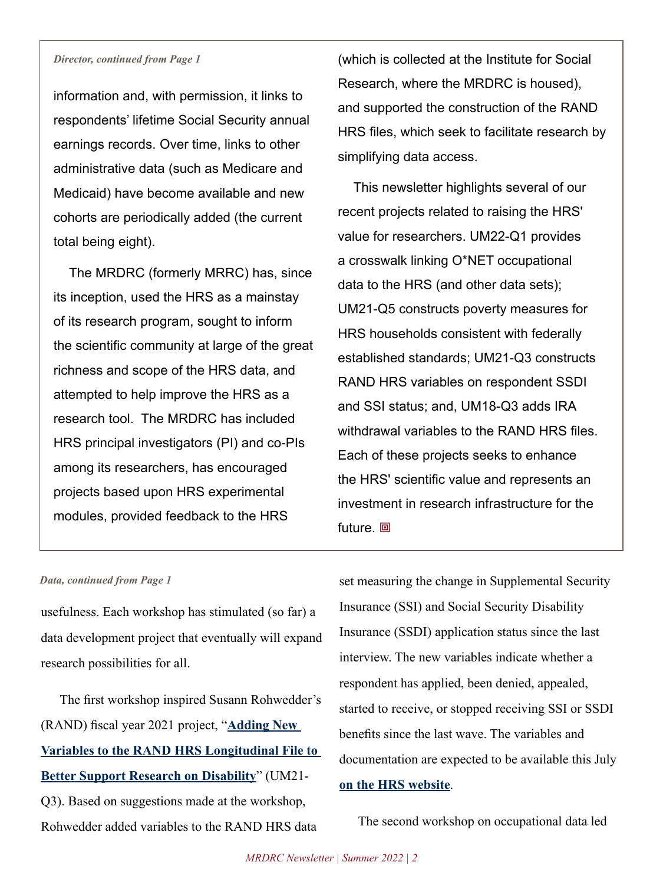#### *Director, continued from Page 1*

information and, with permission, it links to respondents' lifetime Social Security annual earnings records. Over time, links to other administrative data (such as Medicare and Medicaid) have become available and new cohorts are periodically added (the current total being eight).

The MRDRC (formerly MRRC) has, since its inception, used the HRS as a mainstay of its research program, sought to inform the scientific community at large of the great richness and scope of the HRS data, and attempted to help improve the HRS as a research tool. The MRDRC has included HRS principal investigators (PI) and co-PIs among its researchers, has encouraged projects based upon HRS experimental modules, provided feedback to the HRS

(which is collected at the Institute for Social Research, where the MRDRC is housed), and supported the construction of the RAND HRS files, which seek to facilitate research by simplifying data access.

This newsletter highlights several of our recent projects related to raising the HRS' value for researchers. UM22-Q1 provides a crosswalk linking O\*NET occupational data to the HRS (and other data sets); UM21-Q5 constructs poverty measures for HRS households consistent with federally established standards; UM21-Q3 constructs RAND HRS variables on respondent SSDI and SSI status; and, UM18-Q3 adds IRA withdrawal variables to the RAND HRS files. Each of these projects seeks to enhance the HRS' scientific value and represents an investment in research infrastructure for the future. **回** 

#### *Data, continued from Page 1*

usefulness. Each workshop has stimulated (so far) a data development project that eventually will expand research possibilities for all.

The first workshop inspired Susann Rohwedder's (RAND) fiscal year 2021 project, "**[Adding New](https://mrdrc.isr.umich.edu/projects/adding-new-variables-to-the-rand-hrs-longitudinal-file-to-better-support-research-on-disability/)  [Variables to the RAND HRS Longitudinal File to](https://mrdrc.isr.umich.edu/projects/adding-new-variables-to-the-rand-hrs-longitudinal-file-to-better-support-research-on-disability/)  [Better Support Research on Disability](https://mrdrc.isr.umich.edu/projects/adding-new-variables-to-the-rand-hrs-longitudinal-file-to-better-support-research-on-disability/)**" (UM21- Q3). Based on suggestions made at the workshop, Rohwedder added variables to the RAND HRS data

set measuring the change in Supplemental Security Insurance (SSI) and Social Security Disability Insurance (SSDI) application status since the last interview. The new variables indicate whether a respondent has applied, been denied, appealed, started to receive, or stopped receiving SSI or SSDI benefits since the last wave. The variables and documentation are expected to be available this July **[on the HRS website](https://hrsdata.isr.umich.edu/data-products/rand)**.

The second workshop on occupational data led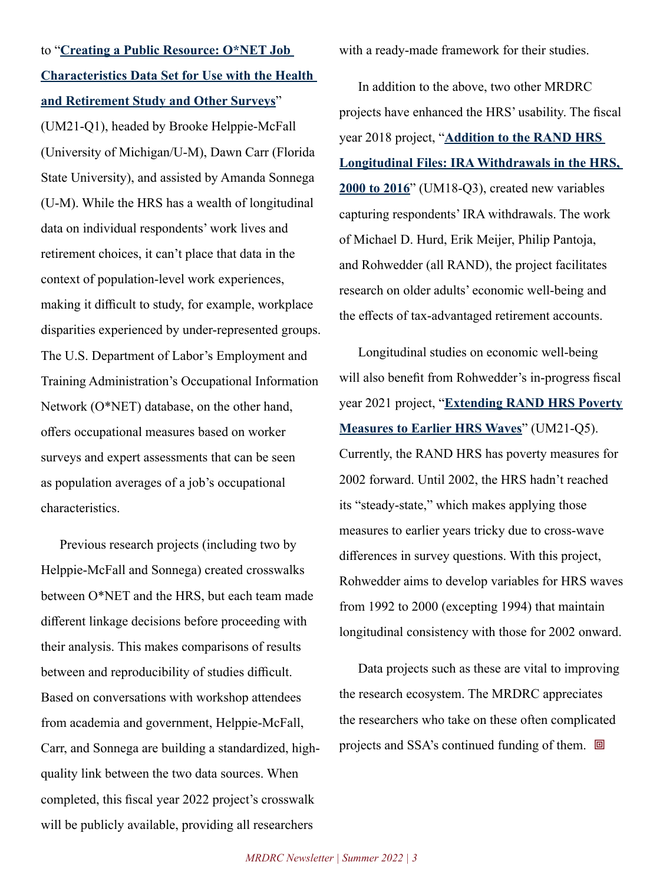to "**[Creating a Public Resource: O\\*NET Job](https://mrdrc.isr.umich.edu/projects/creating-a-public-resource-onet-job-characteristics-data-set-for-use-with-the-health-and-retirement-study-and-other-surveys/)  [Characteristics Data Set for Use with the Health](https://mrdrc.isr.umich.edu/projects/creating-a-public-resource-onet-job-characteristics-data-set-for-use-with-the-health-and-retirement-study-and-other-surveys/)  [and Retirement Study and Other Surveys](https://mrdrc.isr.umich.edu/projects/creating-a-public-resource-onet-job-characteristics-data-set-for-use-with-the-health-and-retirement-study-and-other-surveys/)**"

(UM21-Q1), headed by Brooke Helppie-McFall (University of Michigan/U-M), Dawn Carr (Florida State University), and assisted by Amanda Sonnega (U-M). While the HRS has a wealth of longitudinal data on individual respondents' work lives and retirement choices, it can't place that data in the context of population-level work experiences, making it difficult to study, for example, workplace disparities experienced by under-represented groups. The U.S. Department of Labor's Employment and Training Administration's Occupational Information Network (O\*NET) database, on the other hand, offers occupational measures based on worker surveys and expert assessments that can be seen as population averages of a job's occupational characteristics.

Previous research projects (including two by Helppie-McFall and Sonnega) created crosswalks between O\*NET and the HRS, but each team made different linkage decisions before proceeding with their analysis. This makes comparisons of results between and reproducibility of studies difficult. Based on conversations with workshop attendees from academia and government, Helppie-McFall, Carr, and Sonnega are building a standardized, highquality link between the two data sources. When completed, this fiscal year 2022 project's crosswalk will be publicly available, providing all researchers

with a ready-made framework for their studies.

In addition to the above, two other MRDRC projects have enhanced the HRS' usability. The fiscal year 2018 project, "**[Addition to the RAND HRS](https://mrdrc.isr.umich.edu/pubs/addition-to-the-rand-hrs-longitudinal-files-ira-withdrawals-in-the-hrs-2000-to-2014-2/)  [Longitudinal Files: IRA Withdrawals in the HRS,](https://mrdrc.isr.umich.edu/pubs/addition-to-the-rand-hrs-longitudinal-files-ira-withdrawals-in-the-hrs-2000-to-2014-2/)  [2000 to 2016](https://mrdrc.isr.umich.edu/pubs/addition-to-the-rand-hrs-longitudinal-files-ira-withdrawals-in-the-hrs-2000-to-2014-2/)**" (UM18-Q3), created new variables capturing respondents' IRA withdrawals. The work of Michael D. Hurd, Erik Meijer, Philip Pantoja, and Rohwedder (all RAND), the project facilitates research on older adults' economic well-being and the effects of tax-advantaged retirement accounts.

Longitudinal studies on economic well-being will also benefit from Rohwedder's in-progress fiscal year 2021 project, "**[Extending RAND HRS Poverty](https://mrdrc.isr.umich.edu/projects/extending-rand-hrs-poverty-measures-to-earlier-hrs-waves/)  [Measures to Earlier HRS Waves](https://mrdrc.isr.umich.edu/projects/extending-rand-hrs-poverty-measures-to-earlier-hrs-waves/)**" (UM21-Q5). Currently, the RAND HRS has poverty measures for 2002 forward. Until 2002, the HRS hadn't reached its "steady-state," which makes applying those measures to earlier years tricky due to cross-wave differences in survey questions. With this project, Rohwedder aims to develop variables for HRS waves from 1992 to 2000 (excepting 1994) that maintain longitudinal consistency with those for 2002 onward.

Data projects such as these are vital to improving the research ecosystem. The MRDRC appreciates the researchers who take on these often complicated projects and SSA's continued funding of them. **回**